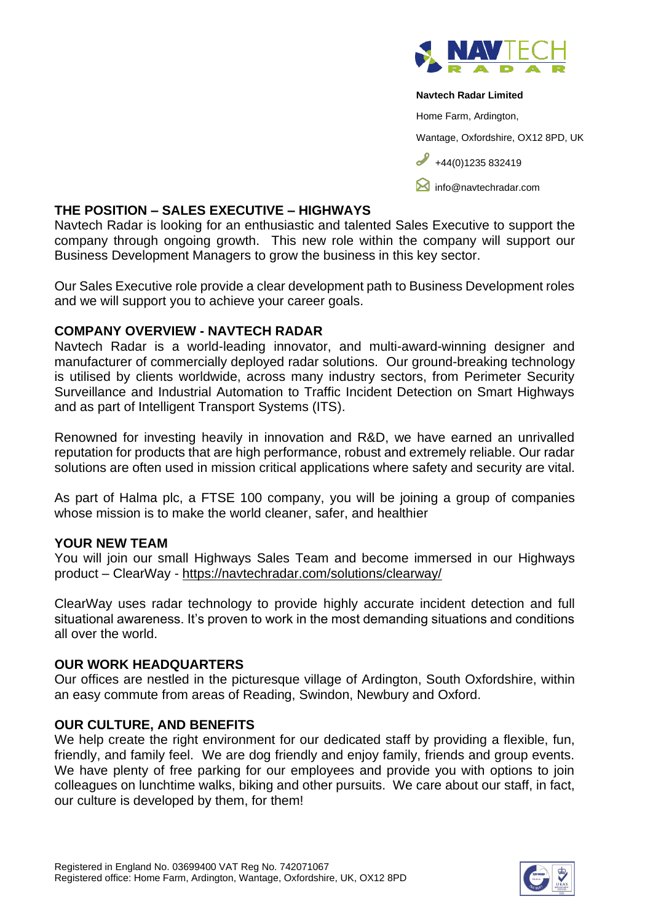

#### **Navtech Radar Limited**

Home Farm, Ardington,

Wantage, Oxfordshire, OX12 8PD, UK

 $+44(0)1235832419$ 

**M** [info@navtechradar.com](mailto:info@navtechradar.com)

#### **THE POSITION – SALES EXECUTIVE – HIGHWAYS**

Navtech Radar is looking for an enthusiastic and talented Sales Executive to support the company through ongoing growth. This new role within the company will support our Business Development Managers to grow the business in this key sector.

Our Sales Executive role provide a clear development path to Business Development roles and we will support you to achieve your career goals.

#### **COMPANY OVERVIEW - NAVTECH RADAR**

Navtech Radar is a world-leading innovator, and multi-award-winning designer and manufacturer of commercially deployed radar solutions. Our ground-breaking technology is utilised by clients worldwide, across many industry sectors, from Perimeter Security Surveillance and Industrial Automation to Traffic Incident Detection on Smart Highways and as part of Intelligent Transport Systems (ITS).

Renowned for investing heavily in innovation and R&D, we have earned an unrivalled reputation for products that are high performance, robust and extremely reliable. Our radar solutions are often used in mission critical applications where safety and security are vital.

As part of Halma plc, a FTSE 100 company, you will be joining a group of companies whose mission is to make the world cleaner, safer, and healthier

## **YOUR NEW TEAM**

You will join our small Highways Sales Team and become immersed in our Highways product – ClearWay - <https://navtechradar.com/solutions/clearway/>

ClearWay uses radar technology to provide highly accurate incident detection and full situational awareness. It's proven to work in the most demanding situations and conditions all over the world.

#### **OUR WORK HEADQUARTERS**

Our offices are nestled in the picturesque village of Ardington, South Oxfordshire, within an easy commute from areas of Reading, Swindon, Newbury and Oxford.

## **OUR CULTURE, AND BENEFITS**

We help create the right environment for our dedicated staff by providing a flexible, fun, friendly, and family feel. We are dog friendly and enjoy family, friends and group events. We have plenty of free parking for our employees and provide you with options to join colleagues on lunchtime walks, biking and other pursuits. We care about our staff, in fact, our culture is developed by them, for them!

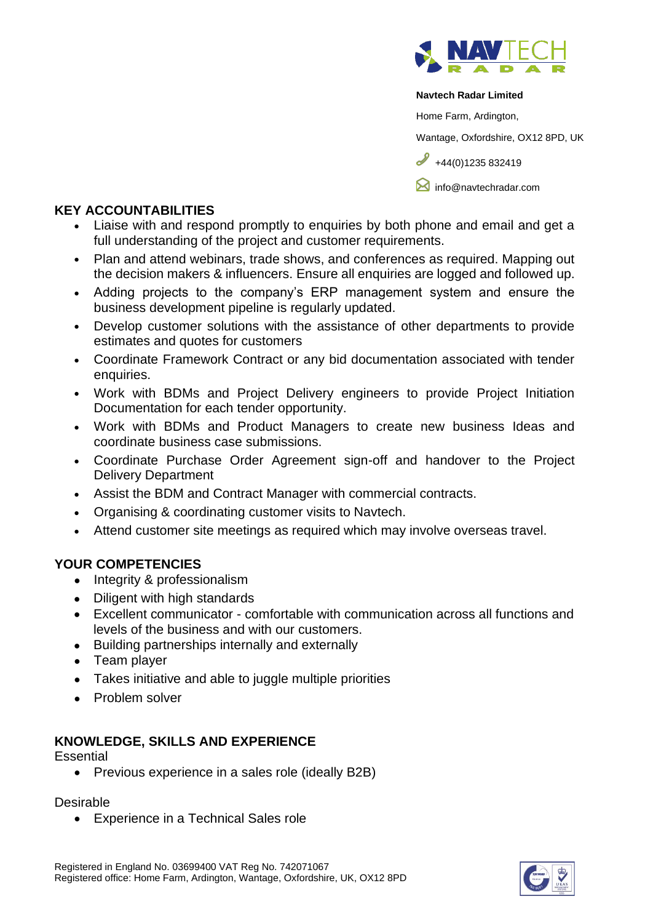

#### **Navtech Radar Limited**

Home Farm, Ardington,

Wantage, Oxfordshire, OX12 8PD, UK

 $\frac{1}{444(0)1235832419}$ 

**M** [info@navtechradar.com](mailto:info@navtechradar.com)

## **KEY ACCOUNTABILITIES**

- Liaise with and respond promptly to enquiries by both phone and email and get a full understanding of the project and customer requirements.
- Plan and attend webinars, trade shows, and conferences as required. Mapping out the decision makers & influencers. Ensure all enquiries are logged and followed up.
- Adding projects to the company's ERP management system and ensure the business development pipeline is regularly updated.
- Develop customer solutions with the assistance of other departments to provide estimates and quotes for customers
- Coordinate Framework Contract or any bid documentation associated with tender enquiries.
- Work with BDMs and Project Delivery engineers to provide Project Initiation Documentation for each tender opportunity.
- Work with BDMs and Product Managers to create new business Ideas and coordinate business case submissions.
- Coordinate Purchase Order Agreement sign-off and handover to the Project Delivery Department
- Assist the BDM and Contract Manager with commercial contracts.
- Organising & coordinating customer visits to Navtech.
- Attend customer site meetings as required which may involve overseas travel.

# **YOUR COMPETENCIES**

- Integrity & professionalism
- Diligent with high standards
- Excellent communicator comfortable with communication across all functions and levels of the business and with our customers.
- Building partnerships internally and externally
- Team player
- Takes initiative and able to juggle multiple priorities
- Problem solver

# **KNOWLEDGE, SKILLS AND EXPERIENCE**

## **Essential**

• Previous experience in a sales role (ideally B2B)

## Desirable

• Experience in a Technical Sales role